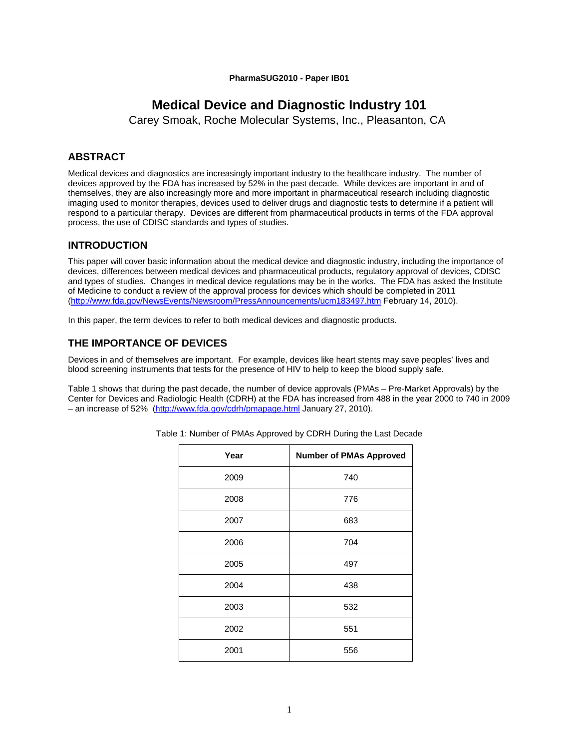#### **PharmaSUG2010 - Paper IB01**

# **Medical Device and Diagnostic Industry 101**

Carey Smoak, Roche Molecular Systems, Inc., Pleasanton, CA

# **ABSTRACT**

Medical devices and diagnostics are increasingly important industry to the healthcare industry. The number of devices approved by the FDA has increased by 52% in the past decade. While devices are important in and of themselves, they are also increasingly more and more important in pharmaceutical research including diagnostic imaging used to monitor therapies, devices used to deliver drugs and diagnostic tests to determine if a patient will respond to a particular therapy. Devices are different from pharmaceutical products in terms of the FDA approval process, the use of CDISC standards and types of studies.

# **INTRODUCTION**

This paper will cover basic information about the medical device and diagnostic industry, including the importance of devices, differences between medical devices and pharmaceutical products, regulatory approval of devices, CDISC and types of studies. Changes in medical device regulations may be in the works. The FDA has asked the Institute of Medicine to conduct a review of the approval process for devices which should be completed in 2011 (http://www.fda.gov/NewsEvents/Newsroom/PressAnnouncements/ucm183497.htm February 14, 2010).

In this paper, the term devices to refer to both medical devices and diagnostic products.

# **THE IMPORTANCE OF DEVICES**

Devices in and of themselves are important. For example, devices like heart stents may save peoples' lives and blood screening instruments that tests for the presence of HIV to help to keep the blood supply safe.

Table 1 shows that during the past decade, the number of device approvals (PMAs – Pre-Market Approvals) by the Center for Devices and Radiologic Health (CDRH) at the FDA has increased from 488 in the year 2000 to 740 in 2009 – an increase of 52% (http://www.fda.gov/cdrh/pmapage.html January 27, 2010).

| Year | <b>Number of PMAs Approved</b> |
|------|--------------------------------|
| 2009 | 740                            |
| 2008 | 776                            |
| 2007 | 683                            |
| 2006 | 704                            |
| 2005 | 497                            |
| 2004 | 438                            |
| 2003 | 532                            |
| 2002 | 551                            |
| 2001 | 556                            |

Table 1: Number of PMAs Approved by CDRH During the Last Decade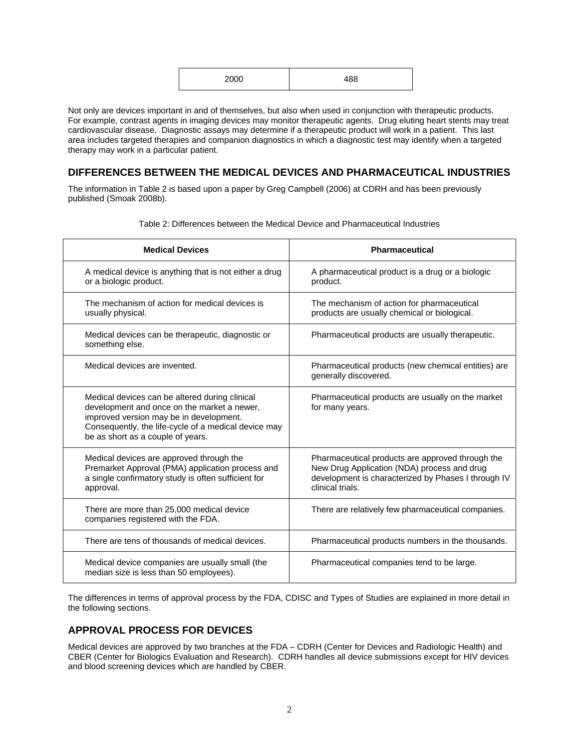| 2000 | 100 |
|------|-----|
|------|-----|

Not only are devices important in and of themselves, but also when used in conjunction with therapeutic products. For example, contrast agents in imaging devices may monitor therapeutic agents. Drug eluting heart stents may treat cardiovascular disease. Diagnostic assays may determine if a therapeutic product will work in a patient. This last area includes targeted therapies and companion diagnostics in which a diagnostic test may identify when a targeted therapy may work in a particular patient.

# **DIFFERENCES BETWEEN THE MEDICAL DEVICES AND PHARMACEUTICAL INDUSTRIES**

The information in Table 2 is based upon a paper by Greg Campbell (2006) at CDRH and has been previously published (Smoak 2008b).

| <b>Medical Devices</b>                                                                                                                                                                                                                | <b>Pharmaceutical</b>                                                                                                                                                      |
|---------------------------------------------------------------------------------------------------------------------------------------------------------------------------------------------------------------------------------------|----------------------------------------------------------------------------------------------------------------------------------------------------------------------------|
| A medical device is anything that is not either a drug<br>or a biologic product.                                                                                                                                                      | A pharmaceutical product is a drug or a biologic<br>product.                                                                                                               |
| The mechanism of action for medical devices is<br>usually physical.                                                                                                                                                                   | The mechanism of action for pharmaceutical<br>products are usually chemical or biological.                                                                                 |
| Medical devices can be therapeutic, diagnostic or<br>something else.                                                                                                                                                                  | Pharmaceutical products are usually therapeutic.                                                                                                                           |
| Medical devices are invented.                                                                                                                                                                                                         | Pharmaceutical products (new chemical entities) are<br>generally discovered.                                                                                               |
| Medical devices can be altered during clinical<br>development and once on the market a newer,<br>improved version may be in development.<br>Consequently, the life-cycle of a medical device may<br>be as short as a couple of years. | Pharmaceutical products are usually on the market<br>for many years.                                                                                                       |
| Medical devices are approved through the<br>Premarket Approval (PMA) application process and<br>a single confirmatory study is often sufficient for<br>approval.                                                                      | Pharmaceutical products are approved through the<br>New Drug Application (NDA) process and drug<br>development is characterized by Phases I through IV<br>clinical trials. |
| There are more than 25,000 medical device<br>companies registered with the FDA.                                                                                                                                                       | There are relatively few pharmaceutical companies.                                                                                                                         |
| There are tens of thousands of medical devices.                                                                                                                                                                                       | Pharmaceutical products numbers in the thousands.                                                                                                                          |
| Medical device companies are usually small (the<br>median size is less than 50 employees).                                                                                                                                            | Pharmaceutical companies tend to be large.                                                                                                                                 |

Table 2: Differences between the Medical Device and Pharmaceutical Industries

The differences in terms of approval process by the FDA, CDISC and Types of Studies are explained in more detail in the following sections.

### **APPROVAL PROCESS FOR DEVICES**

Medical devices are approved by two branches at the FDA – CDRH (Center for Devices and Radiologic Health) and CBER (Center for Biologics Evaluation and Research). CDRH handles all device submissions except for HIV devices and blood screening devices which are handled by CBER.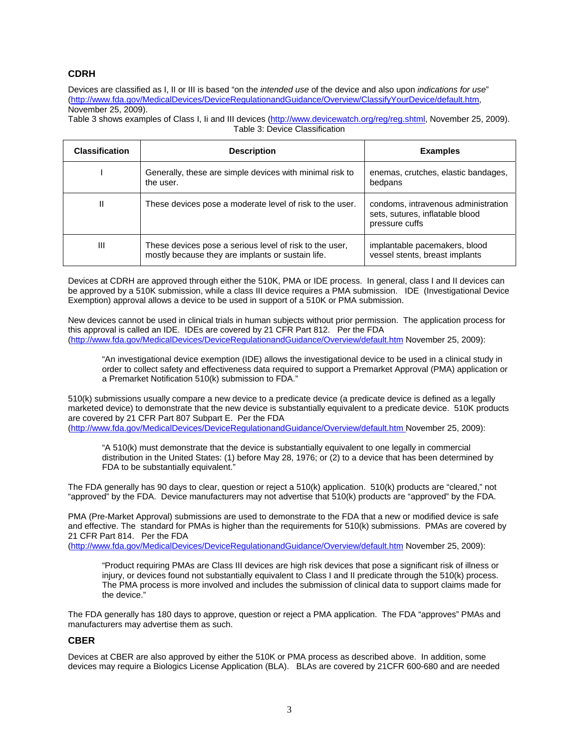### **CDRH**

Devices are classified as I, II or III is based "on the *intended use* of the device and also upon *indications for use*" (http://www.fda.gov/MedicalDevices/DeviceRegulationandGuidance/Overview/ClassifyYourDevice/default.htm, November 25, 2009).

Table 3 shows examples of Class I, Ii and III devices (http://www.devicewatch.org/reg/reg.shtml, November 25, 2009). Table 3: Device Classification

| <b>Classification</b> | <b>Description</b>                                                                                           | <b>Examples</b>                                                                          |
|-----------------------|--------------------------------------------------------------------------------------------------------------|------------------------------------------------------------------------------------------|
|                       | Generally, these are simple devices with minimal risk to<br>the user.                                        | enemas, crutches, elastic bandages,<br>bedpans                                           |
| Ш                     | These devices pose a moderate level of risk to the user.                                                     | condoms, intravenous administration<br>sets, sutures, inflatable blood<br>pressure cuffs |
| Ш                     | These devices pose a serious level of risk to the user,<br>mostly because they are implants or sustain life. | implantable pacemakers, blood<br>vessel stents, breast implants                          |

Devices at CDRH are approved through either the 510K, PMA or IDE process. In general, class I and II devices can be approved by a 510K submission, while a class III device requires a PMA submission. IDE (Investigational Device Exemption) approval allows a device to be used in support of a 510K or PMA submission.

New devices cannot be used in clinical trials in human subjects without prior permission. The application process for this approval is called an IDE. IDEs are covered by 21 CFR Part 812. Per the FDA (http://www.fda.gov/MedicalDevices/DeviceRegulationandGuidance/Overview/default.htm November 25, 2009):

"An investigational device exemption (IDE) allows the investigational device to be used in a clinical study in order to collect safety and effectiveness data required to support a Premarket Approval (PMA) application or a Premarket Notification 510(k) submission to FDA."

510(k) submissions usually compare a new device to a predicate device (a predicate device is defined as a legally marketed device) to demonstrate that the new device is substantially equivalent to a predicate device. 510K products are covered by 21 CFR Part 807 Subpart E. Per the FDA (http://www.fda.gov/MedicalDevices/DeviceRegulationandGuidance/Overview/default.htm November 25, 2009):

"A 510(k) must demonstrate that the device is substantially equivalent to one legally in commercial distribution in the United States: (1) before May 28, 1976; or (2) to a device that has been determined by FDA to be substantially equivalent."

The FDA generally has 90 days to clear, question or reject a 510(k) application. 510(k) products are "cleared," not "approved" by the FDA. Device manufacturers may not advertise that 510(k) products are "approved" by the FDA.

PMA (Pre-Market Approval) submissions are used to demonstrate to the FDA that a new or modified device is safe and effective. The standard for PMAs is higher than the requirements for 510(k) submissions. PMAs are covered by 21 CFR Part 814. Per the FDA

(http://www.fda.gov/MedicalDevices/DeviceRegulationandGuidance/Overview/default.htm November 25, 2009):

"Product requiring PMAs are Class III devices are high risk devices that pose a significant risk of illness or injury, or devices found not substantially equivalent to Class I and II predicate through the 510(k) process. The PMA process is more involved and includes the submission of clinical data to support claims made for the device."

The FDA generally has 180 days to approve, question or reject a PMA application. The FDA "approves" PMAs and manufacturers may advertise them as such.

### **CBER**

Devices at CBER are also approved by either the 510K or PMA process as described above. In addition, some devices may require a Biologics License Application (BLA). BLAs are covered by 21CFR 600-680 and are needed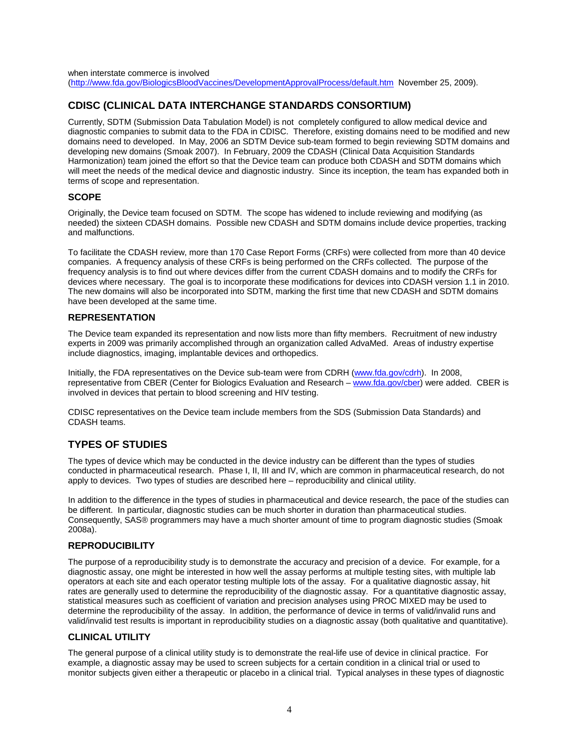# **CDISC (CLINICAL DATA INTERCHANGE STANDARDS CONSORTIUM)**

Currently, SDTM (Submission Data Tabulation Model) is not completely configured to allow medical device and diagnostic companies to submit data to the FDA in CDISC. Therefore, existing domains need to be modified and new domains need to developed. In May, 2006 an SDTM Device sub-team formed to begin reviewing SDTM domains and developing new domains (Smoak 2007). In February, 2009 the CDASH (Clinical Data Acquisition Standards Harmonization) team joined the effort so that the Device team can produce both CDASH and SDTM domains which will meet the needs of the medical device and diagnostic industry. Since its inception, the team has expanded both in terms of scope and representation.

### **SCOPE**

Originally, the Device team focused on SDTM. The scope has widened to include reviewing and modifying (as needed) the sixteen CDASH domains. Possible new CDASH and SDTM domains include device properties, tracking and malfunctions.

To facilitate the CDASH review, more than 170 Case Report Forms (CRFs) were collected from more than 40 device companies. A frequency analysis of these CRFs is being performed on the CRFs collected. The purpose of the frequency analysis is to find out where devices differ from the current CDASH domains and to modify the CRFs for devices where necessary. The goal is to incorporate these modifications for devices into CDASH version 1.1 in 2010. The new domains will also be incorporated into SDTM, marking the first time that new CDASH and SDTM domains have been developed at the same time.

### **REPRESENTATION**

The Device team expanded its representation and now lists more than fifty members. Recruitment of new industry experts in 2009 was primarily accomplished through an organization called AdvaMed. Areas of industry expertise include diagnostics, imaging, implantable devices and orthopedics.

Initially, the FDA representatives on the Device sub-team were from CDRH (www.fda.gov/cdrh). In 2008, representative from CBER (Center for Biologics Evaluation and Research – www.fda.gov/cber) were added. CBER is involved in devices that pertain to blood screening and HIV testing.

CDISC representatives on the Device team include members from the SDS (Submission Data Standards) and CDASH teams.

# **TYPES OF STUDIES**

The types of device which may be conducted in the device industry can be different than the types of studies conducted in pharmaceutical research. Phase I, II, III and IV, which are common in pharmaceutical research, do not apply to devices. Two types of studies are described here – reproducibility and clinical utility.

In addition to the difference in the types of studies in pharmaceutical and device research, the pace of the studies can be different. In particular, diagnostic studies can be much shorter in duration than pharmaceutical studies. Consequently, SAS*®* programmers may have a much shorter amount of time to program diagnostic studies (Smoak 2008a).

### **REPRODUCIBILITY**

The purpose of a reproducibility study is to demonstrate the accuracy and precision of a device. For example, for a diagnostic assay, one might be interested in how well the assay performs at multiple testing sites, with multiple lab operators at each site and each operator testing multiple lots of the assay. For a qualitative diagnostic assay, hit rates are generally used to determine the reproducibility of the diagnostic assay. For a quantitative diagnostic assay, statistical measures such as coefficient of variation and precision analyses using PROC MIXED may be used to determine the reproducibility of the assay. In addition, the performance of device in terms of valid/invalid runs and valid/invalid test results is important in reproducibility studies on a diagnostic assay (both qualitative and quantitative).

### **CLINICAL UTILITY**

The general purpose of a clinical utility study is to demonstrate the real-life use of device in clinical practice. For example, a diagnostic assay may be used to screen subjects for a certain condition in a clinical trial or used to monitor subjects given either a therapeutic or placebo in a clinical trial. Typical analyses in these types of diagnostic